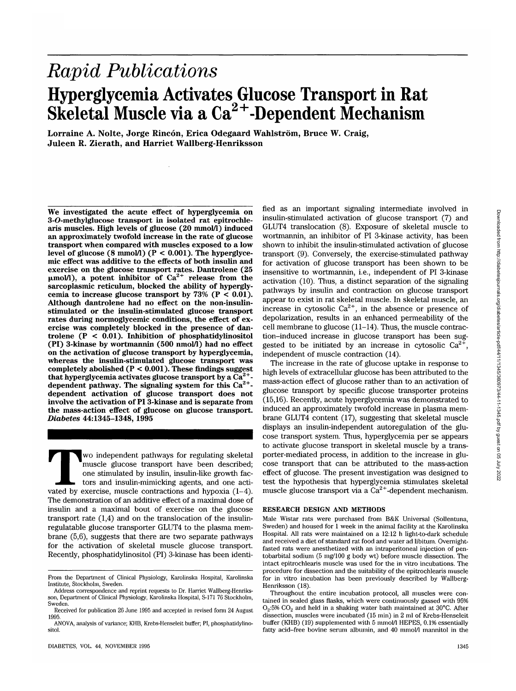# *Rapid Publications* **Hyperglycemia Activates Glucose Transport in Rat Skeletal Muscle via a Ca2+-Dependent Mechanism**

**Lorraine A. Nolte, Jorge Rincon, Erica Odegaard Wahlstrom, Bruce W. Craig, Juleen R. Zierath, and Harriet Wallberg-Henriksson**

**We investigated the acute effect of hyperglycemia on 3-O-methylglucose transport in isolated rat epitrochlearis muscles. High levels of glucose (20 mmol/l) induced an approximately twofold increase in the rate of glucose transport when compared with muscles exposed to a low level of glucose (8 mmol/l) (P < 0.001). The hyperglycemic effect was additive to the effects of both insulin and exercise on the glucose transport rates. Dantrolene (25 (jtmol/1), a potent inhibitor of Ca2+ release from the sarcoplasmic reticulum, blocked the ability of hypergly**cemia to increase glucose transport by  $73\%$  (P < 0.01). **Although dantrolene had no effect on the non-insulinstimulated or the insulin-stimulated glucose transport rates during normoglycemic conditions, the effect of exercise was completely blocked in the presence of dantrolene (P < 0.01). Inhibition of phosphatidylinositol (PI) 3-kinase by wortmannin (500 nmol/1) had no effect on the activation of glucose transport by hyperglycemia, whereas the insulin-stimulated glucose transport was completely abolished (P < 0.001). These findings suggest that hyperglycemia activates glucose transport by a Ca2+ dependent pathway. The signaling system for this Ca2+ dependent activation of glucose transport does not involve the activation of PI 3-kinase and is separate from the mass-action effect of glucose on glucose transport.** *Diabetes* **44:1345-1348, 1995**

Wo independent pathways for regulating skeletal<br>muscle glucose transport have been described;<br>one stimulated by insulin, insulin-like growth fac-<br>tors and insulin-mimicking agents, and one acti-<br>vated by exercise, muscle c muscle glucose transport have been described; one stimulated by insulin, insulin-like growth factors and insulin-mimicking agents, and one acti-The demonstration of an additive effect of a maximal dose of insulin and a maximal bout of exercise on the glucose transport rate (1,4) and on the translocation of the insulinregulatable glucose transporter GLUT4 to the plasma membrane (5,6), suggests that there are two separate pathways for the activation of skeletal muscle glucose transport. Recently, phosphatidylinositol (PI) 3-kinase has been identi-

fied as an important signaling intermediate involved in insulin-stimulated activation of glucose transport (7) and GLUT4 translocation (8). Exposure of skeletal muscle to wortmannin, an inhibitor of PI 3-kinase activity, has been shown to inhibit the insulin-stimulated activation of glucose transport (9). Conversely, the exercise-stimulated pathway for activation of glucose transport has been shown to be insensitive to wortmannin, i.e., independent of PI 3-kinase activation (10). Thus, a distinct separation of the signaling pathways by insulin and contraction on glucose transport appear to exist in rat skeletal muscle. In skeletal muscle, an increase in cytosolic  $Ca^{2+}$ , in the absence or presence of depolarization, results in an enhanced permeability of the cell membrane to glucose (11-14). Thus, the muscle contraction-induced increase in glucose transport has been suggested to be initiated by an increase in cytosolic  $Ca^{2+}$ , independent of muscle contraction (14).

The increase in the rate of glucose uptake in response to high levels of extracellular glucose has been attributed to the mass-action effect of glucose rather than to an activation of glucose transport by specific glucose transporter proteins (15,16). Recently, acute hyperglycemia was demonstrated to induced an approximately twofold increase in plasma membrane GLUT4 content (17), suggesting that skeletal muscle displays an insulin-independent autoregulation of the glucose transport system. Thus, hyperglycemia per se appears to activate glucose transport in skeletal muscle by a transporter-mediated process, in addition to the increase in glucose transport that can be attributed to the mass-action effect of glucose. The present investigation was designed to test the hypothesis that hyperglycemia stimulates skeletal muscle glucose transport via a  $Ca^{2+}$ -dependent mechanism.

### **RESEARCH DESIGN AND METHODS**

Male Wistar rats were purchased from B&K Universal (Sollentuna, Sweden) and housed for 1 week in the animal facility at the Karolinska Hospital. All rats were maintained on a 12:12 h light-to-dark schedule and received a diet of standard rat food and water ad libitum. Overnightfasted rats were anesthetized with an intraperitoneal injection of pentobarbital sodium (5 mg/100 g body wt) before muscle dissection. The intact epitrochlearis muscle was used for the in vitro incubations. The procedure for dissection and the suitability of the epitrochlearis muscle for in vitro incubation has been previously described by Wallberg-Henriksson (18).

Throughout the entire incubation protocol, all muscles were contained in sealed glass flasks, which were continuously gassed with 95%  $O_2:5\%$  CO<sub>2</sub> and held in a shaking water bath maintained at 30°C. After dissection, muscles were incubated (15 min) in 2 ml of Krebs-Henseleit buffer (KHB) (19) supplemented with 5 mmol/l HEPES, 0.1% essentially fatty acid-free bovine serum albumin, and 40 mmol/l mannitol in the

From the Department of Clinical Physiology, Karolinska Hospital, Karolinska Institute, Stockholm, Sweden.

Address correspondence and reprint requests to Dr. Harriet Wallberg-Henriks son, Department of Clinical Physiology, Karolinska Hospital, S-171 76 Stockholm, Sweden.

Received for publication 26 June 1995 and accepted in revised form 24 August 1995.

ANOVA, analysis of variance; KHB, Krebs-Henseleit buffer; PI, phosphatidylino- sitol.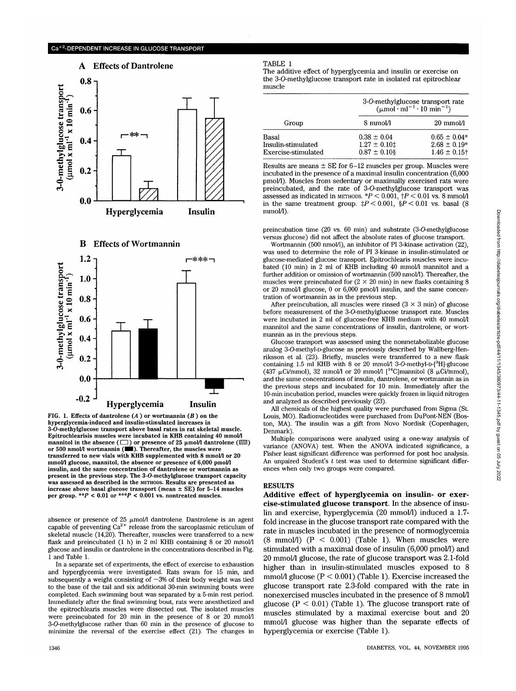## A Effects of Dantrolene



#### B Effects of Wortmannin



**FIG.** 1. Effects of dantrolene  $(A)$  or wortmannin  $(B)$  on the **hyperglycemia-induced and insulin-stimulated increases in 3-O-methylglucose transport above basal rates in rat skeletal muscle. Epitrochlearisis muscles were incubated in KHB containing 40 mmol/1 mannitol in the absence**  $(\Box)$  **or presence of 25**  $\mu$ **mol/l dantrolene** ( $\boxtimes$ ) or 500 nmol/l wortmannin ( $\blacksquare$ ). Thereafter, the muscles were **transferred to new vials with KHB supplemented with 8 mmol/1 or 20 mmol/1 glucose, mannitol, the absence or presence of 6,000 pmol/1 insulin, and the same concentration of dantrolene or wortmannin as present in the previous step. The 3-O-methylglucose transport capacity was assessed as described in the** METHODS. **Results are presented as increase above basal glucose transport (mean ± SE) for 5-14 muscles per group.** *\*\*P <* **0.01 or \*\*\*P < 0.001 vs. nontreated muscles.**

absence or presence of 25  $\mu$ mol/l dantrolene. Dantrolene is an agent capable of preventing  $Ca^{2+}$  release from the sarcoplasmic reticulum of skeletal muscle (14,20). Thereafter, muscles were transferred to a new flask and preincubated (1 h) in 2 ml KHB containing 8 or 20 mmol/l glucose and insulin or dantrolene in the concentrations described in Fig. 1 and Table 1.

In a separate set of experiments, the effect of exercise to exhaustion and hyperglycemia were investigated. Rats swam for 15 min, and subsequently a weight consisting of  $~3\%$  of their body weight was tied to the base of the tail and six additional 30-min swimming bouts were completed. Each swimming bout was separated by a 5-min rest period. Immediately after the final swimming bout, rats were anesthetized and the epitrochlearis muscles were dissected out. The isolated muscles were preincubated for 20 min in the presence of 8 or 20 mmol/1 3-O-methylglucose rather than 60 min in the presence of glucose to minimize the reversal of the exercise effect (21). The changes in

#### TABLE 1

The additive effect of hyperglycemia and insulin or exercise on the 3-O-methylglucose transport rate in isolated rat epitrochlear muscle

| Group                                              | 3-O-methylglucose transport rate<br>$(\mu \text{mol} \cdot \text{ml}^{-1} \cdot 10 \text{ min}^{-1})$ |                                                                      |
|----------------------------------------------------|-------------------------------------------------------------------------------------------------------|----------------------------------------------------------------------|
|                                                    | 8 mmol/l                                                                                              | $20 \text{ mmol/l}$                                                  |
| Basal<br>Insulin-stimulated<br>Exercise-stimulated | $0.38 \pm 0.04$<br>$1.27 \pm 0.10$ ‡<br>$0.87 \pm 0.10$ §                                             | $0.65 \pm 0.04*$<br>$2.68 \pm 0.19*$<br>$1.46 \pm 0.15$ <sup>+</sup> |

Results are means  $\pm$  SE for 6–12 muscles per group. Muscles were incubated in the presence of a maximal insulin concentration (6,000 pmol/1). Muscles from sedentary or maximally exercised rats were preincubated, and the rate of 3-O-methylglucose transport was assessed as indicated in METHODS.  $*P < 0.001$ ,  $P < 0.01$  vs. 8 mmol/l in the same treatment group.  $\sharp P < 0.001$ ,  $\sharp P < 0.01$  vs. basal (8) mmol/l).

preincubation time (20 vs. 60 min) and substrate (3-O-methylglucose versus glucose) did not affect the absolute rates of glucose transport.

Wortmannin (500 nmol/l), an inhibitor of PI 3-kinase activation (22), was used to determine the role of PI 3-kinase in insulin-stimulated or glucose-mediated glucose transport. Epitrochlearis muscles were incubated (10 min) in 2 ml of KHB including 40 mmol/l mannitol and a further addition or omission of wortmannin (500 nmol/l). Thereafter, the muscles were preincubated for (2  $\times$  20 min) in new flasks containing 8 or 20 mmol/1 glucose, 0 or 6,000 pmol/1 insulin, and the same concentration of wortmannin as in the previous step.

After preincubation, all muscles were rinsed  $(3 \times 3 \text{ min})$  of glucose before measurement of the 3-O-methylglucose transport rate. Muscles were incubated in 2 ml of glucose-free KHB medium with 40 mmol/1 mannitol and the same concentrations of insulin, dantrolene, or wortmannin as in the previous steps.

Glucose transport was assessed using the nonmetabolizable glucose riksson et al. (23). Briefly, muscles were transferred to a new flask containing 1.5 ml KHB with 8 or 20 mmol/l 3-O-methyl-D-[<sup>3</sup>H]-glucose (437  $\mu$ Ci/mmol), 32 mmol/1 or 20 mmol/1 [<sup>14</sup>C]mannitol (8  $\mu$ Ci/mmol), and the same concentrations of insulin, dantrolene, or wortmannin as in the previous steps and incubated for 10 min. Immediately after the 10-min incubation period, muscles were quickly frozen in liquid nitrogen and analyzed as described previously (23).

All chemicals of the highest quality were purchased from Sigma (St. Louis, MO). Radionucleotides were purchased from DuPont-NEN (Boston, MA). The insulin was a gift from Novo Nordisk (Copenhagen, Denmark).

Multiple comparisons were analyzed using a one-way analysis of variance (ANOVA) test. When the ANOVA indicated significance, a Fisher least significant difference was performed for post hoc analysis. An unpaired Student's  $t$  test was used to determine significant differences when only two groups were compared.

#### **RESULTS**

**Additive effect of hyperglycemia on insulin- or exercise-stimulated glucose transport.** In the absence of insulin and exercise, hyperglycemia (20 mmol/1) induced a 1.7 fold increase in the glucose transport rate compared with the rate in muscles incubated in the presence of normoglycemia (8 mmol/l)  $(P < 0.001)$  (Table 1). When muscles were stimulated with a maximal dose of insulin (6,000 pmol/1) and 20 mmol/1 glucose, the rate of glucose transport was 2.1-fold higher than in insulin-stimulated muscles exposed to 8 mmol/l glucose  $(P < 0.001)$  (Table 1). Exercise increased the glucose transport rate 2.3-fold compared with the rate in nonexercised muscles incubated in the presence of 8 mmol/1 glucose ( $P < 0.01$ ) (Table 1). The glucose transport rate of muscles stimulated by a maximal exercise bout and 20 mmol/1 glucose was higher than the separate effects of hyperglycemia or exercise (Table 1).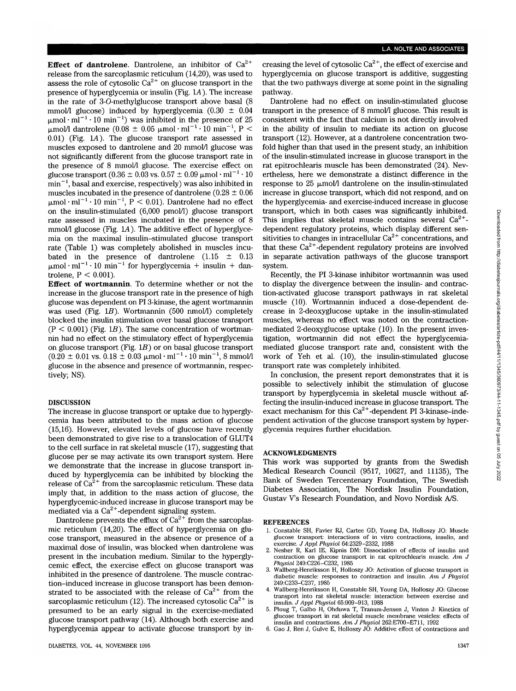**Effect of dantrolene.** Dantrolene, an inhibitor of  $Ca^{2+}$ release from the sarcoplasmic reticulum (14,20), was used to assess the role of cytosolic Ca $^{2+}$  on glucose transport in the presence of hyperglycemia or insulin (Fig. L4). The increase in the rate of 3-O-methylglucose transport above basal (8 mmol/1 glucose) induced by hyperglycemia  $(0.30 \pm 0.04)$  $\mu$ mol·ml<sup>-1</sup>·10 min<sup>-1</sup>) was inhibited in the presence of 25  $\mu$ mol/l dantrolene (0.08  $\pm$  0.05  $\mu$ mol·ml<sup>-1</sup>·10 min<sup>-1</sup>, P < 0.01) (Fig. LA). The glucose transport rate assessed in muscles exposed to dantrolene and 20 mmol/1 glucose was not significantly different from the glucose transport rate in the presence of 8 mmol/1 glucose. The exercise effect on glucose transport (0.36  $\pm$  0.03 vs. 0.57  $\pm$  0.09  $\mu$ mol·ml<sup>-1</sup>·10  $\min^{-1}$ , basal and exercise, respectively) was also inhibited in muscles incubated in the presence of dantrolene ( $0.28 \pm 0.06$ )  $\mu$ mol·ml<sup>-1</sup>·10 min<sup>-1</sup>, P < 0.01). Dantrolene had no effect on the insulin-stimulated (6,000 pmol/1) glucose transport rate assessed in muscles incubated in the presence of 8 mmol/1 glucose (Fig. L4). The additive effect of hyperglycemia on the maximal insulin-stimulated glucose transport rate (Table 1) was completely abolished in muscles incubated in the presence of dantrolene  $(1.15 \pm 0.13)$  $\mu$ mol·ml<sup>-1</sup>·10 min<sup>-1</sup> for hyperglycemia + insulin + dantrolene,  $P < 0.001$ ).

**Effect of wortmannin.** To determine whether or not the increase in the glucose transport rate in the presence of high glucose was dependent on PI 3-kinase, the agent wortmannin was used (Fig. *IB).* Wortmannin (500 nmol/1) completely blocked the insulin stimulation over basal glucose transport  $(P < 0.001)$  (Fig. 1B). The same concentration of wortmannin had no effect on the stimulatory effect of hyperglycemia on glucose transport (Fig. *IB)* or on basal glucose transport  $(0.20 \pm 0.01 \text{ vs. } 0.18 \pm 0.03 \text{ }\mu\text{mol}\cdot\text{ml}^{-1}\cdot 10 \text{ min}^{-1}, 8 \text{ mmol/l})$ glucose in the absence and presence of wortmannin, respectively; NS).

#### **DISCUSSION**

The increase in glucose transport or uptake due to hyperglycemia has been attributed to the mass action of glucose (15,16). However, elevated levels of glucose have recently been demonstrated to give rise to a translocation of GLUT4 to the cell surface in rat skeletal muscle (17), suggesting that glucose per se may activate its own transport system. Here we demonstrate that the increase in glucose transport induced by hyperglycemia can be inhibited by blocking the release of  $Ca^{2+}$  from the sarcoplasmic reticulum. These data imply that, in addition to the mass action of glucose, the hyperglycemic-induced increase in glucose transport may be mediated via a  $Ca^{2+}$ -dependent signaling system.

Dantrolene prevents the efflux of  $\mathrm{Ca^{2+}}$  from the sarcoplasmic reticulum (14,20). The effect of hyperglycemia on glucose transport, measured in the absence or presence of a maximal dose of insulin, was blocked when dantrolene was present in the incubation medium. Similar to the hyperglycemic effect, the exercise effect on glucose transport was inhibited in the presence of dantrolene. The muscle contraction-induced increase in glucose transport has been demonstrated to be associated with the release of  $Ca^{2+}$  from the sarcoplasmic reticulum (12). The increased cytosolic Ca $^{2+}$  is presumed to be an early signal in the exercise-mediated glucose transport pathway (14). Although both exercise and hyperglycemia appear to activate glucose transport by in-

creasing the level of cytosolic  $Ca^{2+}$ , the effect of exercise and hyperglycemia on glucose transport is additive, suggesting that the two pathways diverge at some point in the signaling pathway.

Dantrolene had no effect on insulin-stimulated glucose transport in the presence of 8 mmol/1 glucose. This result is consistent with the fact that calcium is not directly involved in the ability of insulin to mediate its action on glucose transport (12). However, at a dantrolene concentration twofold higher than that used in the present study, an inhibition of the insulin-stimulated increase in glucose transport in the rat epitrochlearis muscle has been demonstrated (24). Nevertheless, here we demonstrate a distinct difference in the response to 25  $\mu$ mol/l dantrolene on the insulin-stimulated increase in glucose transport, which did not respond, and on the hyperglycemia- and exercise-induced increase in glucose transport, which in both cases was significantly inhibited. This implies that skeletal muscle contains several  $Ca^{2+}$ dependent regulatory proteins, which display different sensitivities to changes in intracellular  $Ca^{2+}$  concentrations, and that these  $Ca^{2+}$ -dependent regulatory proteins are involved in separate activation pathways of the glucose transport system.

Recently, the PI 3-kinase inhibitor wortmannin was used to display the divergence between the insulin- and contraction-activated glucose transport pathways in rat skeletal muscle (10). Wortmannin induced a dose-dependent decrease in 2-deoxyglucose uptake in the insulin-stimulated muscles, whereas no effect was noted on the contractionmediated 2-deoxyglucose uptake (10). In the present investigation, wortmannin did not effect the hyperglycemiamediated glucose transport rate and, consistent with the work of Yeh et al. (10), the insulin-stimulated glucose transport rate was completely inhibited.

In conclusion, the present report demonstrates that it is possible to selectively inhibit the stimulation of glucose transport by hyperglycemia in skeletal muscle without affecting the insulin-induced increase in glucose transport. The exact mechanism for this  $Ca^{2+}$ -dependent PI 3-kinase-independent activation of the glucose transport system by hyperglycemia requires further elucidation.

#### ACKNOWLEDGMENTS

This work was supported by grants from the Swedish Medical Research Council (9517, 10627, and 11135), The Bank of Sweden Tercentenary Foundation, The Swedish Diabetes Association, The Nordisk Insulin Foundation, Gustav V's Research Foundation, and Novo Nordisk A/S.

#### **REFERENCES**

- 1. Constable SH, Favier RJ, Cartee GD, Young DA, Holloszy JO: Muscle glucose transport: interactions of in vitro contractions, insulin, and exercise. *J Appl Physiol* 64:2329-2332, 1988
- 2. Nesher R, Karl IE, Kipnis DM: Dissociation of effects of insulin and contraction on glucose transport in rat epitrochlearis muscle. *Am J Physiol* 249:C226-C232, 1985
- 3. Wallberg-Henriksson H, Holloszy JO: Activation of glucose transport in diabetic muscle: responses to contraction and insulin. *Am J Physiol* 249:C233-C237, 1985<br>4. Wallberg-Henriksson H, Constable SH, Young DA, Holloszy JO: Glucose
- transport into rat skeletal muscle: interaction between exercise and insulin. *J Appl Physiol* 65:909-913, 1988
- 5. Ploug T, Galbo H, Ohduwa T, Tranum-Jensen J, Vinten J: Kinetics of glucose transport in rat skeletal muscle membrane vesicles: eifects of insulin and contractions. *Am J Physiol* 262:E700-E711, 1992
- 6. Gao J, Ren J, Gulve E, Holloszy JO: Additive effect of contractions and